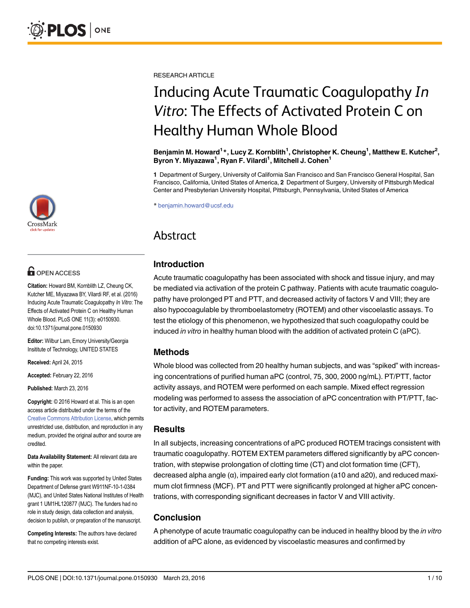

# **OPEN ACCESS**

Citation: Howard BM, Kornblith LZ, Cheung CK, Kutcher ME, Miyazawa BY, Vilardi RF, et al. (2016) Inducing Acute Traumatic Coagulopathy In Vitro: The Effects of Activated Protein C on Healthy Human Whole Blood. PLoS ONE 11(3): e0150930. doi:10.1371/journal.pone.0150930

Editor: Wilbur Lam, Emory University/Georgia Insititute of Technology, UNITED STATES

Received: April 24, 2015

Accepted: February 22, 2016

Published: March 23, 2016

Copyright: © 2016 Howard et al. This is an open access article distributed under the terms of the [Creative Commons Attribution License,](http://creativecommons.org/licenses/by/4.0/) which permits unrestricted use, distribution, and reproduction in any medium, provided the original author and source are credited.

Data Availability Statement: All relevant data are within the paper.

Funding: This work was supported by United States Department of Defense grant W911NF-10-1-0384 (MJC), and United States National Institutes of Health grant 1 UM1HL120877 (MJC). The funders had no role in study design, data collection and analysis, decision to publish, or preparation of the manuscript.

Competing Interests: The authors have declared that no competing interests exist.

RESEARCH ARTICLE

# Inducing Acute Traumatic Coagulopathy In Vitro: The Effects of Activated Protein C on Healthy Human Whole Blood

Benjamin M. Howard<sup>1</sup>\*, Lucy Z. Kornblith<sup>1</sup>, Christopher K. Cheung<sup>1</sup>, Matthew E. Kutcher<sup>2</sup>, Byron Y. Miyazawa<sup>1</sup>, Ryan F. Vilardi<sup>1</sup>, Mitchell J. Cohen<sup>1</sup>

1 Department of Surgery, University of California San Francisco and San Francisco General Hospital, San Francisco, California, United States of America, 2 Department of Surgery, University of Pittsburgh Medical Center and Presbyterian University Hospital, Pittsburgh, Pennsylvania, United States of America

\* benjamin.howard@ucsf.edu

# Abstract

# Introduction

Acute traumatic coagulopathy has been associated with shock and tissue injury, and may be mediated via activation of the protein C pathway. Patients with acute traumatic coagulopathy have prolonged PT and PTT, and decreased activity of factors V and VIII; they are also hypocoagulable by thromboelastometry (ROTEM) and other viscoelastic assays. To test the etiology of this phenomenon, we hypothesized that such coagulopathy could be induced in vitro in healthy human blood with the addition of activated protein C (aPC).

## Methods

Whole blood was collected from 20 healthy human subjects, and was "spiked" with increasing concentrations of purified human aPC (control, 75, 300, 2000 ng/mL). PT/PTT, factor activity assays, and ROTEM were performed on each sample. Mixed effect regression modeling was performed to assess the association of aPC concentration with PT/PTT, factor activity, and ROTEM parameters.

## **Results**

In all subjects, increasing concentrations of aPC produced ROTEM tracings consistent with traumatic coagulopathy. ROTEM EXTEM parameters differed significantly by aPC concentration, with stepwise prolongation of clotting time (CT) and clot formation time (CFT), decreased alpha angle (α), impaired early clot formation (a10 and a20), and reduced maximum clot firmness (MCF). PT and PTT were significantly prolonged at higher aPC concentrations, with corresponding significant decreases in factor V and VIII activity.

# Conclusion

A phenotype of acute traumatic coagulopathy can be induced in healthy blood by the in vitro addition of aPC alone, as evidenced by viscoelastic measures and confirmed by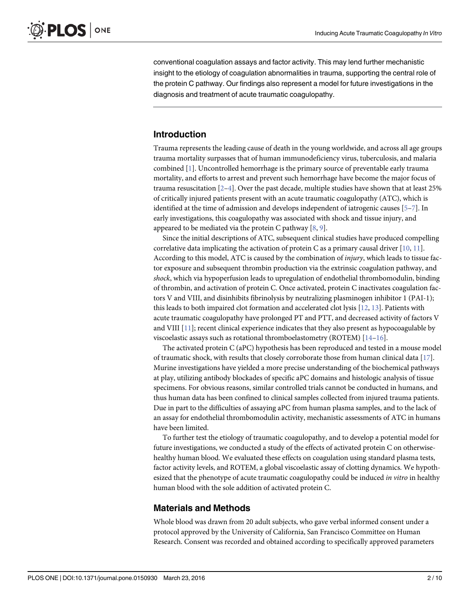<span id="page-1-0"></span>conventional coagulation assays and factor activity. This may lend further mechanistic insight to the etiology of coagulation abnormalities in trauma, supporting the central role of the protein C pathway. Our findings also represent a model for future investigations in the diagnosis and treatment of acute traumatic coagulopathy.

#### Introduction

Trauma represents the leading cause of death in the young worldwide, and across all age groups trauma mortality surpasses that of human immunodeficiency virus, tuberculosis, and malaria combined  $[1]$  $[1]$ . Uncontrolled hemorrhage is the primary source of preventable early trauma mortality, and efforts to arrest and prevent such hemorrhage have become the major focus of trauma resuscitation [\[2](#page-7-0)–[4\]](#page-8-0). Over the past decade, multiple studies have shown that at least 25% of critically injured patients present with an acute traumatic coagulopathy (ATC), which is identified at the time of admission and develops independent of iatrogenic causes [[5](#page-8-0)–[7](#page-8-0)]. In early investigations, this coagulopathy was associated with shock and tissue injury, and appeared to be mediated via the protein C pathway  $[8, 9]$  $[8, 9]$  $[8, 9]$  $[8, 9]$ .

Since the initial descriptions of ATC, subsequent clinical studies have produced compelling correlative data implicating the activation of protein C as a primary causal driver  $[10, 11]$  $[10, 11]$  $[10, 11]$ . According to this model, ATC is caused by the combination of injury, which leads to tissue factor exposure and subsequent thrombin production via the extrinsic coagulation pathway, and shock, which via hypoperfusion leads to upregulation of endothelial thrombomodulin, binding of thrombin, and activation of protein C. Once activated, protein C inactivates coagulation factors V and VIII, and disinhibits fibrinolysis by neutralizing plasminogen inhibitor 1 (PAI-1); this leads to both impaired clot formation and accelerated clot lysis  $[12, 13]$  $[12, 13]$  $[12, 13]$ . Patients with acute traumatic coagulopathy have prolonged PT and PTT, and decreased activity of factors V and VIII [[11](#page-8-0)]; recent clinical experience indicates that they also present as hypocoagulable by viscoelastic assays such as rotational thromboelastometry (ROTEM)  $[14-16]$  $[14-16]$  $[14-16]$  $[14-16]$ .

The activated protein C (aPC) hypothesis has been reproduced and tested in a mouse model of traumatic shock, with results that closely corroborate those from human clinical data [\[17\]](#page-8-0). Murine investigations have yielded a more precise understanding of the biochemical pathways at play, utilizing antibody blockades of specific aPC domains and histologic analysis of tissue specimens. For obvious reasons, similar controlled trials cannot be conducted in humans, and thus human data has been confined to clinical samples collected from injured trauma patients. Due in part to the difficulties of assaying aPC from human plasma samples, and to the lack of an assay for endothelial thrombomodulin activity, mechanistic assessments of ATC in humans have been limited.

To further test the etiology of traumatic coagulopathy, and to develop a potential model for future investigations, we conducted a study of the effects of activated protein C on otherwisehealthy human blood. We evaluated these effects on coagulation using standard plasma tests, factor activity levels, and ROTEM, a global viscoelastic assay of clotting dynamics. We hypothesized that the phenotype of acute traumatic coagulopathy could be induced in vitro in healthy human blood with the sole addition of activated protein C.

#### Materials and Methods

Whole blood was drawn from 20 adult subjects, who gave verbal informed consent under a protocol approved by the University of California, San Francisco Committee on Human Research. Consent was recorded and obtained according to specifically approved parameters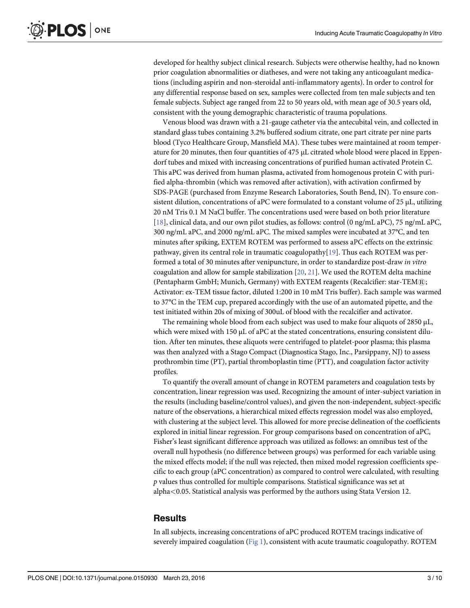<span id="page-2-0"></span>developed for healthy subject clinical research. Subjects were otherwise healthy, had no known prior coagulation abnormalities or diatheses, and were not taking any anticoagulant medications (including aspirin and non-steroidal anti-inflammatory agents). In order to control for any differential response based on sex, samples were collected from ten male subjects and ten female subjects. Subject age ranged from 22 to 50 years old, with mean age of 30.5 years old, consistent with the young demographic characteristic of trauma populations.

Venous blood was drawn with a 21-gauge catheter via the antecubital vein, and collected in standard glass tubes containing 3.2% buffered sodium citrate, one part citrate per nine parts blood (Tyco Healthcare Group, Mansfield MA). These tubes were maintained at room temperature for 20 minutes, then four quantities of 475 μL citrated whole blood were placed in Eppendorf tubes and mixed with increasing concentrations of purified human activated Protein C. This aPC was derived from human plasma, activated from homogenous protein C with purified alpha-thrombin (which was removed after activation), with activation confirmed by SDS-PAGE (purchased from Enzyme Research Laboratories, South Bend, IN). To ensure consistent dilution, concentrations of aPC were formulated to a constant volume of 25 μL, utilizing 20 nM Tris 0.1 M NaCl buffer. The concentrations used were based on both prior literature [\[18](#page-8-0)], clinical data, and our own pilot studies, as follows: control (0 ng/mL aPC), 75 ng/mL aPC, 300 ng/mL aPC, and 2000 ng/mL aPC. The mixed samples were incubated at 37°C, and ten minutes after spiking, EXTEM ROTEM was performed to assess aPC effects on the extrinsic pathway, given its central role in traumatic coagulopathy $[19]$  $[19]$ . Thus each ROTEM was performed a total of 30 minutes after venipuncture, in order to standardize post-draw in vitro coagulation and allow for sample stabilization  $[20, 21]$  $[20, 21]$  $[20, 21]$ . We used the ROTEM delta machine (Pentapharm GmbH; Munich, Germany) with EXTEM reagents (Recalcifier: star-TEM $R$ ); Activator: ex-TEM tissue factor, diluted 1:200 in 10 mM Tris buffer). Each sample was warmed to 37°C in the TEM cup, prepared accordingly with the use of an automated pipette, and the test initiated within 20s of mixing of 300uL of blood with the recalcifier and activator.

The remaining whole blood from each subject was used to make four aliquots of 2850 μL, which were mixed with 150 μL of aPC at the stated concentrations, ensuring consistent dilution. After ten minutes, these aliquots were centrifuged to platelet-poor plasma; this plasma was then analyzed with a Stago Compact (Diagnostica Stago, Inc., Parsippany, NJ) to assess prothrombin time (PT), partial thromboplastin time (PTT), and coagulation factor activity profiles.

To quantify the overall amount of change in ROTEM parameters and coagulation tests by concentration, linear regression was used. Recognizing the amount of inter-subject variation in the results (including baseline/control values), and given the non-independent, subject-specific nature of the observations, a hierarchical mixed effects regression model was also employed, with clustering at the subject level. This allowed for more precise delineation of the coefficients explored in initial linear regression. For group comparisons based on concentration of aPC, Fisher's least significant difference approach was utilized as follows: an omnibus test of the overall null hypothesis (no difference between groups) was performed for each variable using the mixed effects model; if the null was rejected, then mixed model regression coefficients specific to each group (aPC concentration) as compared to control were calculated, with resulting p values thus controlled for multiple comparisons. Statistical significance was set at alpha<0.05. Statistical analysis was performed by the authors using Stata Version 12.

#### **Results**

In all subjects, increasing concentrations of aPC produced ROTEM tracings indicative of severely impaired coagulation ( $Fig 1$ ), consistent with acute traumatic coagulopathy. ROTEM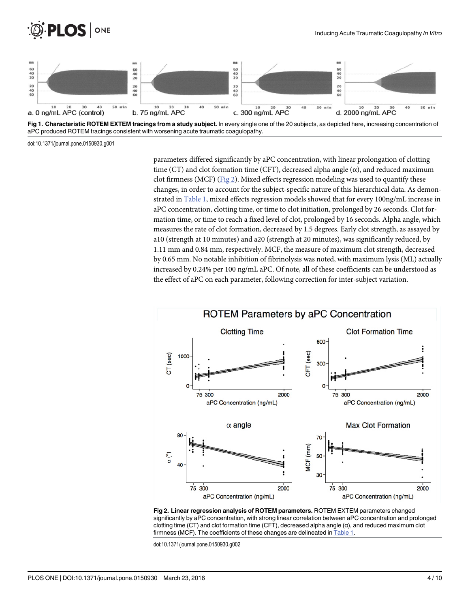<span id="page-3-0"></span>



[Fig 1. C](#page-2-0)haracteristic ROTEM EXTEM tracings from a study subject. In every single one of the 20 subjects, as depicted here, increasing concentration of aPC produced ROTEM tracings consistent with worsening acute traumatic coagulopathy.

doi:10.1371/journal.pone.0150930.g001

parameters differed significantly by aPC concentration, with linear prolongation of clotting time (CT) and clot formation time (CFT), decreased alpha angle  $(\alpha)$ , and reduced maximum clot firmness (MCF) (Fig 2). Mixed effects regression modeling was used to quantify these changes, in order to account for the subject-specific nature of this hierarchical data. As demonstrated in [Table 1,](#page-4-0) mixed effects regression models showed that for every 100ng/mL increase in aPC concentration, clotting time, or time to clot initiation, prolonged by 26 seconds. Clot formation time, or time to reach a fixed level of clot, prolonged by 16 seconds. Alpha angle, which measures the rate of clot formation, decreased by 1.5 degrees. Early clot strength, as assayed by a10 (strength at 10 minutes) and a20 (strength at 20 minutes), was significantly reduced, by 1.11 mm and 0.84 mm, respectively. MCF, the measure of maximum clot strength, decreased by 0.65 mm. No notable inhibition of fibrinolysis was noted, with maximum lysis (ML) actually increased by 0.24% per 100 ng/mL aPC. Of note, all of these coefficients can be understood as the effect of aPC on each parameter, following correction for inter-subject variation.



Fig 2. Linear regression analysis of ROTEM parameters. ROTEM EXTEM parameters changed significantly by aPC concentration, with strong linear correlation between aPC concentration and prolonged clotting time (CT) and clot formation time (CFT), decreased alpha angle (α), and reduced maximum clot firmness (MCF). The coefficients of these changes are delineated in [Table 1.](#page-4-0)

doi:10.1371/journal.pone.0150930.g002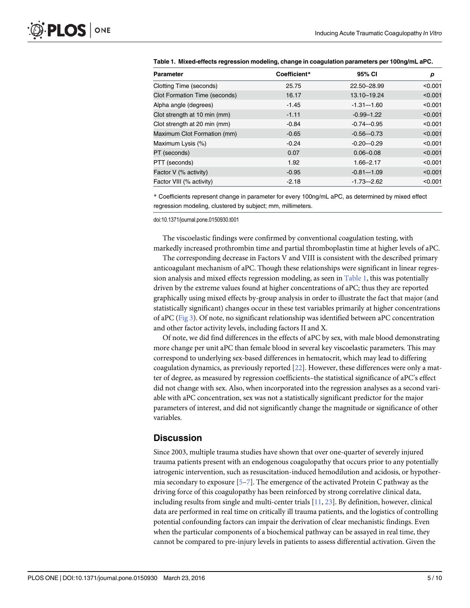| <b>Parameter</b>              | Coefficient* | 95% CI          | р       |
|-------------------------------|--------------|-----------------|---------|
| Clotting Time (seconds)       | 25.75        | 22.50-28.99     | < 0.001 |
| Clot Formation Time (seconds) | 16.17        | 13.10-19.24     | < 0.001 |
| Alpha angle (degrees)         | $-1.45$      | $-1.31 - -1.60$ | < 0.001 |
| Clot strength at 10 min (mm)  | $-1.11$      | $-0.99 - 1.22$  | < 0.001 |
| Clot strength at 20 min (mm)  | $-0.84$      | $-0.74 - 0.95$  | < 0.001 |
| Maximum Clot Formation (mm)   | $-0.65$      | $-0.56 - 0.73$  | < 0.001 |
| Maximum Lysis (%)             | $-0.24$      | $-0.20 - 0.29$  | < 0.001 |
| PT (seconds)                  | 0.07         | $0.06 - 0.08$   | < 0.001 |
| PTT (seconds)                 | 1.92         | $1.66 - 2.17$   | < 0.001 |
| Factor V (% activity)         | $-0.95$      | $-0.81 - -1.09$ | < 0.001 |
| Factor VIII (% activity)      | $-2.18$      | $-1.73 - 2.62$  | < 0.001 |

<span id="page-4-0"></span>[Table 1.](#page-3-0) Mixed-effects regression modeling, change in coagulation parameters per 100ng/mL aPC.

\* Coefficients represent change in parameter for every 100ng/mL aPC, as determined by mixed effect regression modeling, clustered by subject; mm, millimeters.

doi:10.1371/journal.pone.0150930.t001

The viscoelastic findings were confirmed by conventional coagulation testing, with markedly increased prothrombin time and partial thromboplastin time at higher levels of aPC.

The corresponding decrease in Factors V and VIII is consistent with the described primary anticoagulant mechanism of aPC. Though these relationships were significant in linear regression analysis and mixed effects regression modeling, as seen in Table 1, this was potentially driven by the extreme values found at higher concentrations of aPC; thus they are reported graphically using mixed effects by-group analysis in order to illustrate the fact that major (and statistically significant) changes occur in these test variables primarily at higher concentrations of aPC [\(Fig 3\)](#page-5-0). Of note, no significant relationship was identified between aPC concentration and other factor activity levels, including factors II and X.

Of note, we did find differences in the effects of aPC by sex, with male blood demonstrating more change per unit aPC than female blood in several key viscoelastic parameters. This may correspond to underlying sex-based differences in hematocrit, which may lead to differing coagulation dynamics, as previously reported  $[22]$ . However, these differences were only a matter of degree, as measured by regression coefficients–the statistical significance of aPC's effect did not change with sex. Also, when incorporated into the regression analyses as a second variable with aPC concentration, sex was not a statistically significant predictor for the major parameters of interest, and did not significantly change the magnitude or significance of other variables.

#### **Discussion**

Since 2003, multiple trauma studies have shown that over one-quarter of severely injured trauma patients present with an endogenous coagulopathy that occurs prior to any potentially iatrogenic intervention, such as resuscitation-induced hemodilution and acidosis, or hypothermia secondary to exposure  $[5-7]$  $[5-7]$  $[5-7]$  $[5-7]$ . The emergence of the activated Protein C pathway as the driving force of this coagulopathy has been reinforced by strong correlative clinical data, including results from single and multi-center trials [[11](#page-8-0), [23](#page-9-0)]. By definition, however, clinical data are performed in real time on critically ill trauma patients, and the logistics of controlling potential confounding factors can impair the derivation of clear mechanistic findings. Even when the particular components of a biochemical pathway can be assayed in real time, they cannot be compared to pre-injury levels in patients to assess differential activation. Given the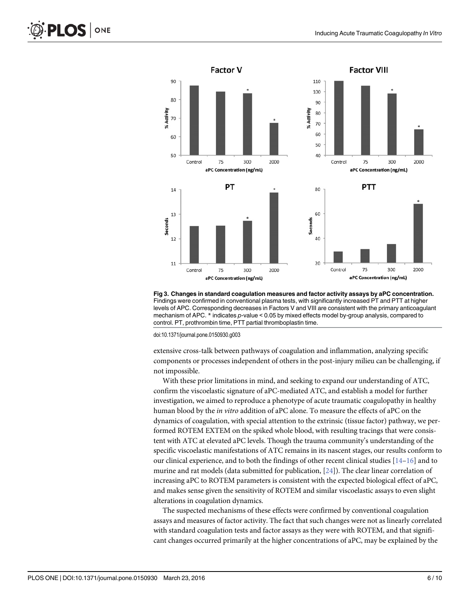<span id="page-5-0"></span>



[Fig 3. C](#page-4-0)hanges in standard coagulation measures and factor activity assays by aPC concentration. Findings were confirmed in conventional plasma tests, with significantly increased PT and PTT at higher levels of APC. Corresponding decreases in Factors V and VIII are consistent with the primary anticoagulant mechanism of APC. \* indicates p-value < 0.05 by mixed effects model by-group analysis, compared to control. PT, prothrombin time, PTT partial thromboplastin time.

doi:10.1371/journal.pone.0150930.g003

extensive cross-talk between pathways of coagulation and inflammation, analyzing specific components or processes independent of others in the post-injury milieu can be challenging, if not impossible.

With these prior limitations in mind, and seeking to expand our understanding of ATC, confirm the viscoelastic signature of aPC-mediated ATC, and establish a model for further investigation, we aimed to reproduce a phenotype of acute traumatic coagulopathy in healthy human blood by the in vitro addition of aPC alone. To measure the effects of aPC on the dynamics of coagulation, with special attention to the extrinsic (tissue factor) pathway, we performed ROTEM EXTEM on the spiked whole blood, with resulting tracings that were consistent with ATC at elevated aPC levels. Though the trauma community's understanding of the specific viscoelastic manifestations of ATC remains in its nascent stages, our results conform to our clinical experience, and to both the findings of other recent clinical studies  $[14-16]$  $[14-16]$  $[14-16]$  $[14-16]$  $[14-16]$  and to murine and rat models (data submitted for publication, [\[24\]](#page-9-0)). The clear linear correlation of increasing aPC to ROTEM parameters is consistent with the expected biological effect of aPC, and makes sense given the sensitivity of ROTEM and similar viscoelastic assays to even slight alterations in coagulation dynamics.

The suspected mechanisms of these effects were confirmed by conventional coagulation assays and measures of factor activity. The fact that such changes were not as linearly correlated with standard coagulation tests and factor assays as they were with ROTEM, and that significant changes occurred primarily at the higher concentrations of aPC, may be explained by the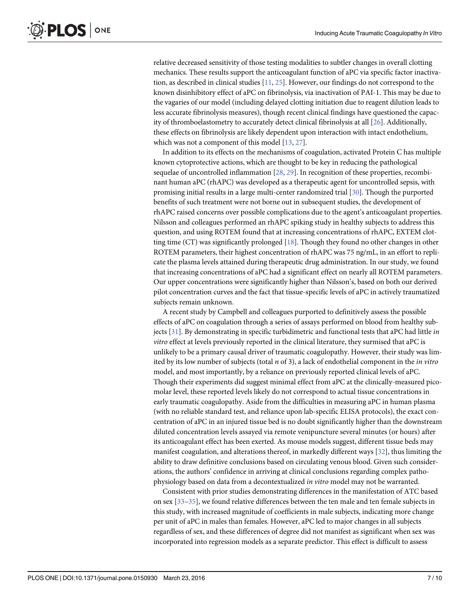<span id="page-6-0"></span>relative decreased sensitivity of those testing modalities to subtler changes in overall clotting mechanics. These results support the anticoagulant function of aPC via specific factor inactivation, as described in clinical studies  $[11, 25]$  $[11, 25]$  $[11, 25]$  $[11, 25]$  $[11, 25]$ . However, our findings do not correspond to the known disinhibitory effect of aPC on fibrinolysis, via inactivation of PAI-1. This may be due to the vagaries of our model (including delayed clotting initiation due to reagent dilution leads to less accurate fibrinolysis measures), though recent clinical findings have questioned the capacity of thromboelastometry to accurately detect clinical fibrinolysis at all [\[26](#page-9-0)]. Additionally, these effects on fibrinolysis are likely dependent upon interaction with intact endothelium, which was not a component of this model [[13,](#page-8-0) [27\]](#page-9-0).

In addition to its effects on the mechanisms of coagulation, activated Protein C has multiple known cytoprotective actions, which are thought to be key in reducing the pathological sequelae of uncontrolled inflammation  $[28, 29]$  $[28, 29]$  $[28, 29]$ . In recognition of these properties, recombinant human aPC (rhAPC) was developed as a therapeutic agent for uncontrolled sepsis, with promising initial results in a large multi-center randomized trial [[30](#page-9-0)]. Though the purported benefits of such treatment were not borne out in subsequent studies, the development of rhAPC raised concerns over possible complications due to the agent's anticoagulant properties. Nilsson and colleagues performed an rhAPC spiking study in healthy subjects to address this question, and using ROTEM found that at increasing concentrations of rhAPC, EXTEM clotting time (CT) was significantly prolonged [[18](#page-8-0)]. Though they found no other changes in other ROTEM parameters, their highest concentration of rhAPC was 75 ng/mL, in an effort to replicate the plasma levels attained during therapeutic drug administration. In our study, we found that increasing concentrations of aPC had a significant effect on nearly all ROTEM parameters. Our upper concentrations were significantly higher than Nilsson's, based on both our derived pilot concentration curves and the fact that tissue-specific levels of aPC in actively traumatized subjects remain unknown.

A recent study by Campbell and colleagues purported to definitively assess the possible effects of aPC on coagulation through a series of assays performed on blood from healthy subjects [\[31\]](#page-9-0). By demonstrating in specific turbidimetric and functional tests that aPC had little in vitro effect at levels previously reported in the clinical literature, they surmised that aPC is unlikely to be a primary causal driver of traumatic coagulopathy. However, their study was limited by its low number of subjects (total  $n$  of 3), a lack of endothelial component in the *in vitro* model, and most importantly, by a reliance on previously reported clinical levels of aPC. Though their experiments did suggest minimal effect from aPC at the clinically-measured picomolar level, these reported levels likely do not correspond to actual tissue concentrations in early traumatic coagulopathy. Aside from the difficulties in measuring aPC in human plasma (with no reliable standard test, and reliance upon lab-specific ELISA protocols), the exact concentration of aPC in an injured tissue bed is no doubt significantly higher than the downstream diluted concentration levels assayed via remote venipuncture several minutes (or hours) after its anticoagulant effect has been exerted. As mouse models suggest, different tissue beds may manifest coagulation, and alterations thereof, in markedly different ways [\[32\]](#page-9-0), thus limiting the ability to draw definitive conclusions based on circulating venous blood. Given such considerations, the authors' confidence in arriving at clinical conclusions regarding complex pathophysiology based on data from a decontextualized in vitro model may not be warranted.

Consistent with prior studies demonstrating differences in the manifestation of ATC based on sex  $[33-35]$  $[33-35]$  $[33-35]$  $[33-35]$  $[33-35]$ , we found relative differences between the ten male and ten female subjects in this study, with increased magnitude of coefficients in male subjects, indicating more change per unit of aPC in males than females. However, aPC led to major changes in all subjects regardless of sex, and these differences of degree did not manifest as significant when sex was incorporated into regression models as a separate predictor. This effect is difficult to assess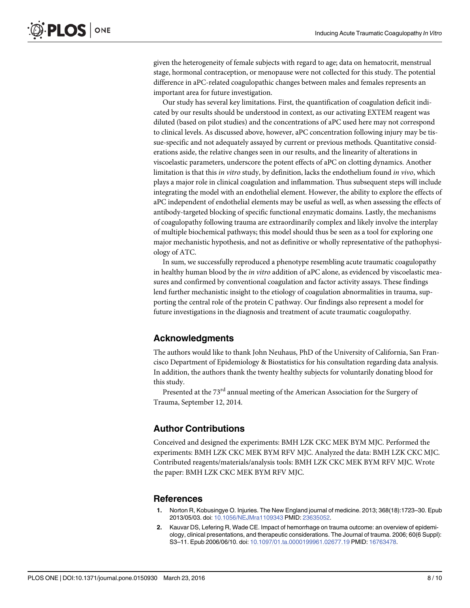<span id="page-7-0"></span>given the heterogeneity of female subjects with regard to age; data on hematocrit, menstrual stage, hormonal contraception, or menopause were not collected for this study. The potential difference in aPC-related coagulopathic changes between males and females represents an important area for future investigation.

Our study has several key limitations. First, the quantification of coagulation deficit indicated by our results should be understood in context, as our activating EXTEM reagent was diluted (based on pilot studies) and the concentrations of aPC used here may not correspond to clinical levels. As discussed above, however, aPC concentration following injury may be tissue-specific and not adequately assayed by current or previous methods. Quantitative considerations aside, the relative changes seen in our results, and the linearity of alterations in viscoelastic parameters, underscore the potent effects of aPC on clotting dynamics. Another limitation is that this in vitro study, by definition, lacks the endothelium found in vivo, which plays a major role in clinical coagulation and inflammation. Thus subsequent steps will include integrating the model with an endothelial element. However, the ability to explore the effects of aPC independent of endothelial elements may be useful as well, as when assessing the effects of antibody-targeted blocking of specific functional enzymatic domains. Lastly, the mechanisms of coagulopathy following trauma are extraordinarily complex and likely involve the interplay of multiple biochemical pathways; this model should thus be seen as a tool for exploring one major mechanistic hypothesis, and not as definitive or wholly representative of the pathophysiology of ATC.

In sum, we successfully reproduced a phenotype resembling acute traumatic coagulopathy in healthy human blood by the *in vitro* addition of aPC alone, as evidenced by viscoelastic measures and confirmed by conventional coagulation and factor activity assays. These findings lend further mechanistic insight to the etiology of coagulation abnormalities in trauma, supporting the central role of the protein C pathway. Our findings also represent a model for future investigations in the diagnosis and treatment of acute traumatic coagulopathy.

#### Acknowledgments

The authors would like to thank John Neuhaus, PhD of the University of California, San Francisco Department of Epidemiology & Biostatistics for his consultation regarding data analysis. In addition, the authors thank the twenty healthy subjects for voluntarily donating blood for this study.

Presented at the 73<sup>rd</sup> annual meeting of the American Association for the Surgery of Trauma, September 12, 2014.

#### Author Contributions

Conceived and designed the experiments: BMH LZK CKC MEK BYM MJC. Performed the experiments: BMH LZK CKC MEK BYM RFV MJC. Analyzed the data: BMH LZK CKC MJC. Contributed reagents/materials/analysis tools: BMH LZK CKC MEK BYM RFV MJC. Wrote the paper: BMH LZK CKC MEK BYM RFV MJC.

#### References

- [1.](#page-1-0) Norton R, Kobusingye O. Injuries. The New England journal of medicine. 2013; 368(18):1723–30. Epub 2013/05/03. doi: [10.1056/NEJMra1109343](http://dx.doi.org/10.1056/NEJMra1109343) PMID: [23635052.](http://www.ncbi.nlm.nih.gov/pubmed/23635052)
- [2.](#page-1-0) Kauvar DS, Lefering R, Wade CE. Impact of hemorrhage on trauma outcome: an overview of epidemiology, clinical presentations, and therapeutic considerations. The Journal of trauma. 2006; 60(6 Suppl): S3–11. Epub 2006/06/10. doi: [10.1097/01.ta.0000199961.02677.19](http://dx.doi.org/10.1097/01.ta.0000199961.02677.19) PMID: [16763478](http://www.ncbi.nlm.nih.gov/pubmed/16763478).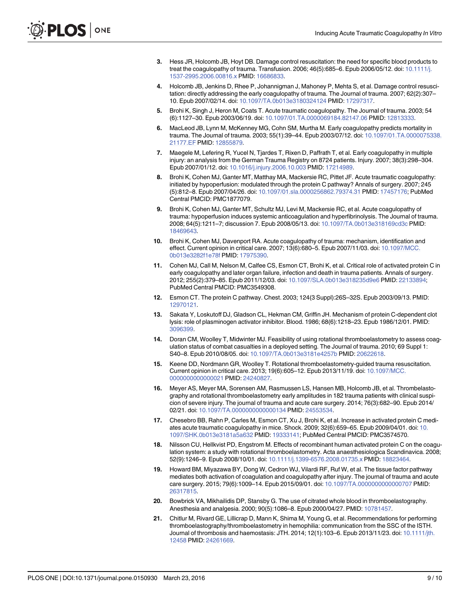- <span id="page-8-0"></span>3. Hess JR, Holcomb JB, Hoyt DB. Damage control resuscitation: the need for specific blood products to treat the coagulopathy of trauma. Transfusion. 2006; 46(5):685–6. Epub 2006/05/12. doi: [10.1111/j.](http://dx.doi.org/10.1111/j.1537-2995.2006.00816.x) [1537-2995.2006.00816.x](http://dx.doi.org/10.1111/j.1537-2995.2006.00816.x) PMID: [16686833.](http://www.ncbi.nlm.nih.gov/pubmed/16686833)
- [4.](#page-1-0) Holcomb JB, Jenkins D, Rhee P, Johannigman J, Mahoney P, Mehta S, et al. Damage control resuscitation: directly addressing the early coagulopathy of trauma. The Journal of trauma. 2007; 62(2):307– 10. Epub 2007/02/14. doi: [10.1097/TA.0b013e3180324124](http://dx.doi.org/10.1097/TA.0b013e3180324124) PMID: [17297317](http://www.ncbi.nlm.nih.gov/pubmed/17297317).
- [5.](#page-1-0) Brohi K, Singh J, Heron M, Coats T. Acute traumatic coagulopathy. The Journal of trauma. 2003; 54 (6):1127–30. Epub 2003/06/19. doi: [10.1097/01.TA.0000069184.82147.06](http://dx.doi.org/10.1097/01.TA.0000069184.82147.06) PMID: [12813333](http://www.ncbi.nlm.nih.gov/pubmed/12813333).
- 6. MacLeod JB, Lynn M, McKenney MG, Cohn SM, Murtha M. Early coagulopathy predicts mortality in trauma. The Journal of trauma. 2003; 55(1):39–44. Epub 2003/07/12. doi: [10.1097/01.TA.0000075338.](http://dx.doi.org/10.1097/01.TA.0000075338.21177.EF) [21177.EF](http://dx.doi.org/10.1097/01.TA.0000075338.21177.EF) PMID: [12855879](http://www.ncbi.nlm.nih.gov/pubmed/12855879).
- [7.](#page-1-0) Maegele M, Lefering R, Yucel N, Tjardes T, Rixen D, Paffrath T, et al. Early coagulopathy in multiple injury: an analysis from the German Trauma Registry on 8724 patients. Injury. 2007; 38(3):298–304. Epub 2007/01/12. doi: [10.1016/j.injury.2006.10.003](http://dx.doi.org/10.1016/j.injury.2006.10.003) PMID: [17214989](http://www.ncbi.nlm.nih.gov/pubmed/17214989).
- [8.](#page-1-0) Brohi K, Cohen MJ, Ganter MT, Matthay MA, Mackersie RC, Pittet JF. Acute traumatic coagulopathy: initiated by hypoperfusion: modulated through the protein C pathway? Annals of surgery. 2007; 245 (5):812–8. Epub 2007/04/26. doi: [10.1097/01.sla.0000256862.79374.31](http://dx.doi.org/10.1097/01.sla.0000256862.79374.31) PMID: [17457176;](http://www.ncbi.nlm.nih.gov/pubmed/17457176) PubMed Central PMCID: PMC1877079.
- [9.](#page-1-0) Brohi K, Cohen MJ, Ganter MT, Schultz MJ, Levi M, Mackersie RC, et al. Acute coagulopathy of trauma: hypoperfusion induces systemic anticoagulation and hyperfibrinolysis. The Journal of trauma. 2008; 64(5):1211–7; discussion 7. Epub 2008/05/13. doi: [10.1097/TA.0b013e318169cd3c](http://dx.doi.org/10.1097/TA.0b013e318169cd3c) PMID: [18469643](http://www.ncbi.nlm.nih.gov/pubmed/18469643).
- [10.](#page-1-0) Brohi K, Cohen MJ, Davenport RA. Acute coagulopathy of trauma: mechanism, identification and effect. Current opinion in critical care. 2007; 13(6):680–5. Epub 2007/11/03. doi: [10.1097/MCC.](http://dx.doi.org/10.1097/MCC.0b013e3282f1e78f) [0b013e3282f1e78f](http://dx.doi.org/10.1097/MCC.0b013e3282f1e78f) PMID: [17975390.](http://www.ncbi.nlm.nih.gov/pubmed/17975390)
- [11.](#page-1-0) Cohen MJ, Call M, Nelson M, Calfee CS, Esmon CT, Brohi K, et al. Critical role of activated protein C in early coagulopathy and later organ failure, infection and death in trauma patients. Annals of surgery. 2012; 255(2):379–85. Epub 2011/12/03. doi: [10.1097/SLA.0b013e318235d9e6](http://dx.doi.org/10.1097/SLA.0b013e318235d9e6) PMID: [22133894](http://www.ncbi.nlm.nih.gov/pubmed/22133894); PubMed Central PMCID: PMC3549308.
- [12.](#page-1-0) Esmon CT. The protein C pathway. Chest. 2003; 124(3 Suppl):26S–32S. Epub 2003/09/13. PMID: [12970121](http://www.ncbi.nlm.nih.gov/pubmed/12970121).
- [13.](#page-1-0) Sakata Y, Loskutoff DJ, Gladson CL, Hekman CM, Griffin JH. Mechanism of protein C-dependent clot lysis: role of plasminogen activator inhibitor. Blood. 1986; 68(6):1218–23. Epub 1986/12/01. PMID: [3096399.](http://www.ncbi.nlm.nih.gov/pubmed/3096399)
- [14.](#page-1-0) Doran CM, Woolley T, Midwinter MJ. Feasibility of using rotational thromboelastometry to assess coagulation status of combat casualties in a deployed setting. The Journal of trauma. 2010; 69 Suppl 1: S40–8. Epub 2010/08/05. doi: [10.1097/TA.0b013e3181e4257b](http://dx.doi.org/10.1097/TA.0b013e3181e4257b) PMID: [20622618](http://www.ncbi.nlm.nih.gov/pubmed/20622618).
- 15. Keene DD, Nordmann GR, Woolley T. Rotational thromboelastometry-guided trauma resuscitation. Current opinion in critical care. 2013; 19(6):605–12. Epub 2013/11/19. doi: [10.1097/MCC.](http://dx.doi.org/10.1097/MCC.0000000000000021) [0000000000000021](http://dx.doi.org/10.1097/MCC.0000000000000021) PMID: [24240827](http://www.ncbi.nlm.nih.gov/pubmed/24240827).
- [16.](#page-1-0) Meyer AS, Meyer MA, Sorensen AM, Rasmussen LS, Hansen MB, Holcomb JB, et al. Thrombelastography and rotational thromboelastometry early amplitudes in 182 trauma patients with clinical suspicion of severe injury. The journal of trauma and acute care surgery. 2014; 76(3):682–90. Epub 2014/ 02/21. doi: [10.1097/TA.0000000000000134](http://dx.doi.org/10.1097/TA.0000000000000134) PMID: [24553534](http://www.ncbi.nlm.nih.gov/pubmed/24553534).
- [17.](#page-1-0) Chesebro BB, Rahn P, Carles M, Esmon CT, Xu J, Brohi K, et al. Increase in activated protein C mediates acute traumatic coagulopathy in mice. Shock. 2009; 32(6):659–65. Epub 2009/04/01. doi: [10.](http://dx.doi.org/10.1097/SHK.0b013e3181a5a632) [1097/SHK.0b013e3181a5a632](http://dx.doi.org/10.1097/SHK.0b013e3181a5a632) PMID: [19333141](http://www.ncbi.nlm.nih.gov/pubmed/19333141); PubMed Central PMCID: PMC3574570.
- [18.](#page-2-0) Nilsson CU, Hellkvist PD, Engstrom M. Effects of recombinant human activated protein C on the coagulation system: a study with rotational thromboelastometry. Acta anaesthesiologica Scandinavica. 2008; 52(9):1246–9. Epub 2008/10/01. doi: [10.1111/j.1399-6576.2008.01735.x](http://dx.doi.org/10.1111/j.1399-6576.2008.01735.x) PMID: [18823464](http://www.ncbi.nlm.nih.gov/pubmed/18823464).
- [19.](#page-2-0) Howard BM, Miyazawa BY, Dong W, Cedron WJ, Vilardi RF, Ruf W, et al. The tissue factor pathway mediates both activation of coagulation and coagulopathy after injury. The journal of trauma and acute care surgery. 2015; 79(6):1009–14. Epub 2015/09/01. doi: [10.1097/TA.0000000000000707](http://dx.doi.org/10.1097/TA.0000000000000707) PMID: [26317815](http://www.ncbi.nlm.nih.gov/pubmed/26317815).
- [20.](#page-2-0) Bowbrick VA, Mikhailidis DP, Stansby G. The use of citrated whole blood in thromboelastography. Anesthesia and analgesia. 2000; 90(5):1086–8. Epub 2000/04/27. PMID: [10781457.](http://www.ncbi.nlm.nih.gov/pubmed/10781457)
- [21.](#page-2-0) Chitlur M, Rivard GE, Lillicrap D, Mann K, Shima M, Young G, et al. Recommendations for performing thromboelastography/thromboelastometry in hemophilia: communication from the SSC of the ISTH. Journal of thrombosis and haemostasis: JTH. 2014; 12(1):103–6. Epub 2013/11/23. doi: [10.1111/jth.](http://dx.doi.org/10.1111/jth.12458) [12458](http://dx.doi.org/10.1111/jth.12458) PMID: [24261669.](http://www.ncbi.nlm.nih.gov/pubmed/24261669)